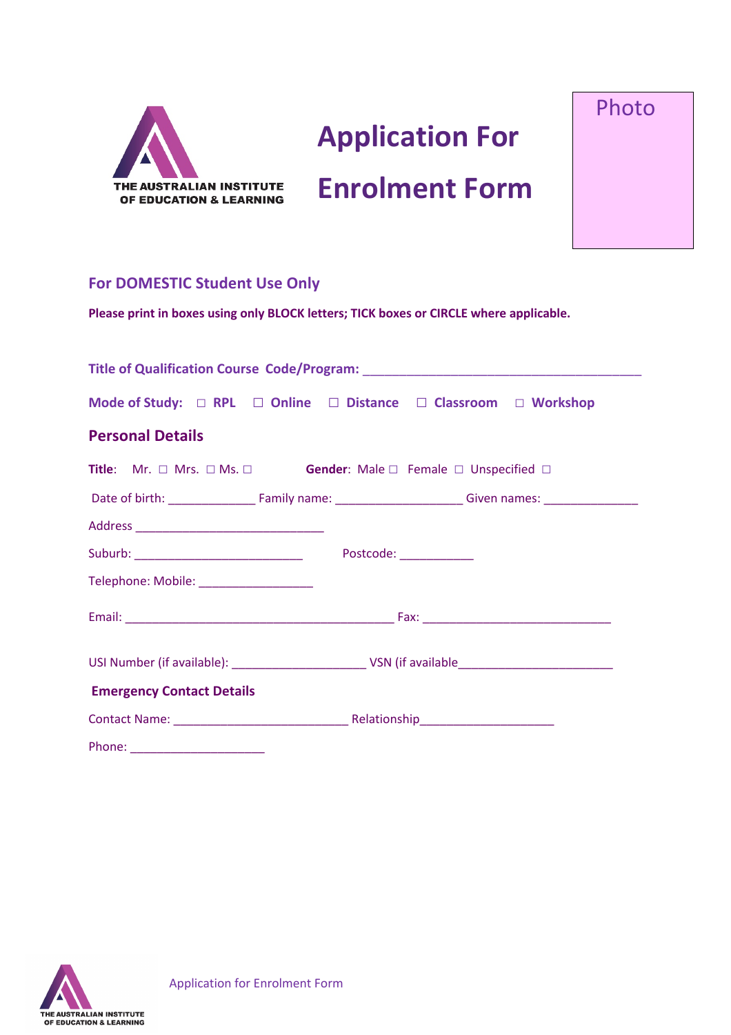

# **Application For**

Photo

## **Enrolment Form**

#### **For DOMESTIC Student Use Only**

**Please print in boxes using only BLOCK letters; TICK boxes or CIRCLE where applicable.** 

| <b>Personal Details</b>                                                                                        |  |  |  |
|----------------------------------------------------------------------------------------------------------------|--|--|--|
| Title: Mr. □ Mrs. □ Ms. □ Gender: Male □ Female □ Unspecified □                                                |  |  |  |
| Date of birth: _________________________Family name: ___________________________Given names: _________________ |  |  |  |
|                                                                                                                |  |  |  |
|                                                                                                                |  |  |  |
| Telephone: Mobile: ____________________                                                                        |  |  |  |
|                                                                                                                |  |  |  |
|                                                                                                                |  |  |  |
| <b>Emergency Contact Details</b>                                                                               |  |  |  |
|                                                                                                                |  |  |  |
| Phone:                                                                                                         |  |  |  |

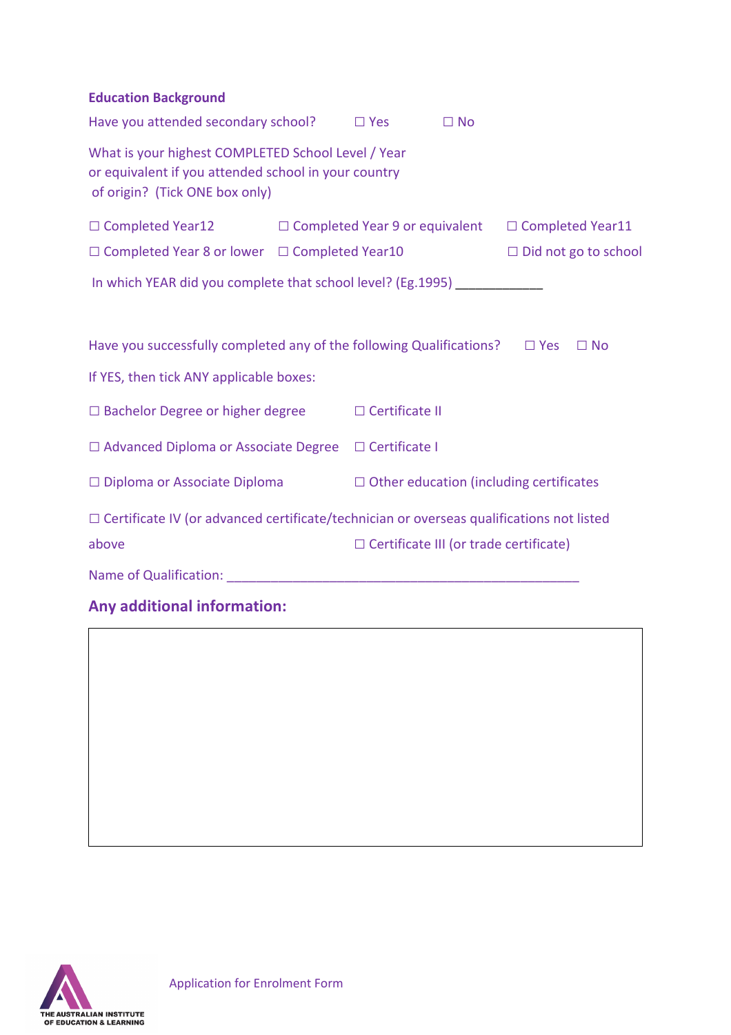| <b>Education Background</b>                                                                                                                  |                             |                                               |           |                         |  |
|----------------------------------------------------------------------------------------------------------------------------------------------|-----------------------------|-----------------------------------------------|-----------|-------------------------|--|
| Have you attended secondary school?                                                                                                          |                             | $\square$ Yes                                 | $\Box$ No |                         |  |
| What is your highest COMPLETED School Level / Year<br>or equivalent if you attended school in your country<br>of origin? (Tick ONE box only) |                             |                                               |           |                         |  |
| $\Box$ Completed Year12                                                                                                                      |                             | $\square$ Completed Year 9 or equivalent      |           | $\Box$ Completed Year11 |  |
| $\Box$ Completed Year 8 or lower $\Box$ Completed Year10                                                                                     | $\Box$ Did not go to school |                                               |           |                         |  |
| In which YEAR did you complete that school level? (Eg.1995) ______________                                                                   |                             |                                               |           |                         |  |
| Have you successfully completed any of the following Qualifications?<br>$\Box$ No<br>$\Box$ Yes                                              |                             |                                               |           |                         |  |
| If YES, then tick ANY applicable boxes:                                                                                                      |                             |                                               |           |                         |  |
| $\Box$ Bachelor Degree or higher degree                                                                                                      |                             | $\Box$ Certificate II                         |           |                         |  |
| $\Box$ Advanced Diploma or Associate Degree<br>$\Box$ Certificate I                                                                          |                             |                                               |           |                         |  |
| $\Box$ Diploma or Associate Diploma<br>$\Box$ Other education (including certificates                                                        |                             |                                               |           |                         |  |
| $\Box$ Certificate IV (or advanced certificate/technician or overseas qualifications not listed                                              |                             |                                               |           |                         |  |
| above                                                                                                                                        |                             | $\Box$ Certificate III (or trade certificate) |           |                         |  |
|                                                                                                                                              |                             |                                               |           |                         |  |

### **Any additional information:**

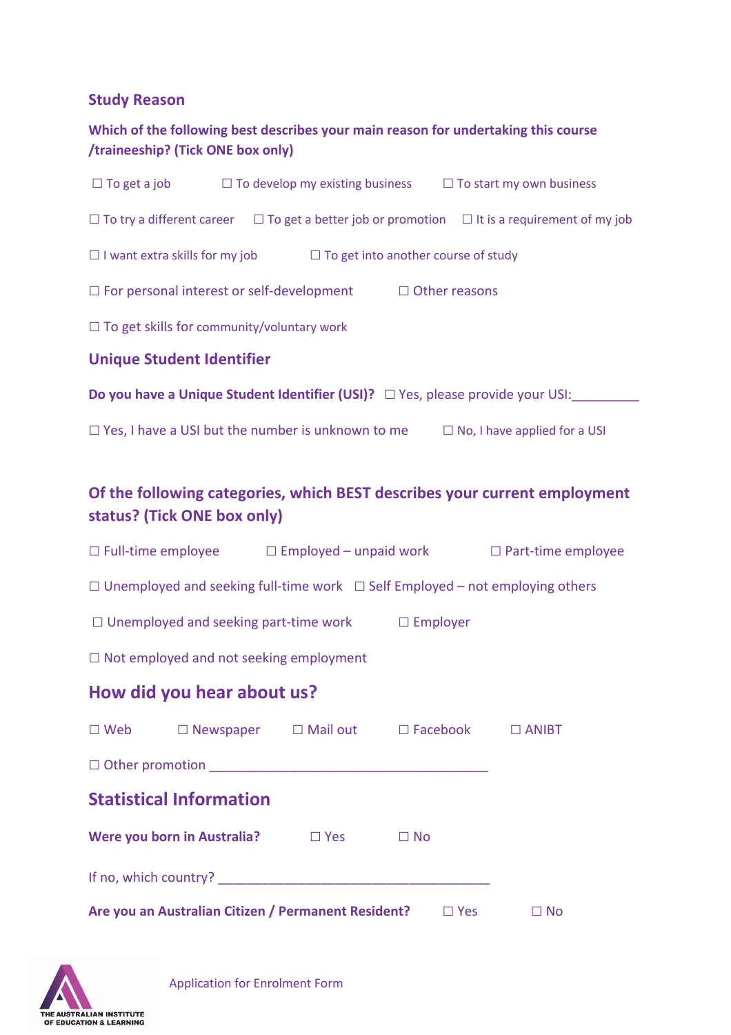#### **Study Reason**

| Which of the following best describes your main reason for undertaking this course |  |
|------------------------------------------------------------------------------------|--|
| /traineeship? (Tick ONE box only)                                                  |  |

| $\Box$ To get a job                                                                 | $\Box$ To develop my existing business                   |  | $\Box$ To start my own business                                                                               |
|-------------------------------------------------------------------------------------|----------------------------------------------------------|--|---------------------------------------------------------------------------------------------------------------|
|                                                                                     |                                                          |  | $\Box$ To try a different career $\Box$ To get a better job or promotion $\Box$ It is a requirement of my job |
| $\Box$ I want extra skills for my job<br>$\Box$ To get into another course of study |                                                          |  |                                                                                                               |
| $\Box$ For personal interest or self-development<br>$\Box$ Other reasons            |                                                          |  |                                                                                                               |
| $\Box$ To get skills for community/voluntary work                                   |                                                          |  |                                                                                                               |
| <b>Unique Student Identifier</b>                                                    |                                                          |  |                                                                                                               |
| Do you have a Unique Student Identifier (USI)? □ Yes, please provide your USI:      |                                                          |  |                                                                                                               |
|                                                                                     | $\Box$ Yes, I have a USI but the number is unknown to me |  | $\Box$ No, I have applied for a USI                                                                           |

#### **Of the following categories, which BEST describes your current employment status? (Tick ONE box only)**

|                                                                                          |                                                 |  |           | $\Box$ Full-time employee $\Box$ Employed – unpaid work $\Box$ Part-time employee |  |
|------------------------------------------------------------------------------------------|-------------------------------------------------|--|-----------|-----------------------------------------------------------------------------------|--|
| $\Box$ Unemployed and seeking full-time work $\Box$ Self Employed – not employing others |                                                 |  |           |                                                                                   |  |
| $\Box$ Unemployed and seeking part-time work $\Box$ Employer                             |                                                 |  |           |                                                                                   |  |
|                                                                                          | $\Box$ Not employed and not seeking employment  |  |           |                                                                                   |  |
| How did you hear about us?                                                               |                                                 |  |           |                                                                                   |  |
|                                                                                          | □ Web □ Newspaper □ Mail out □ Facebook □ ANIBT |  |           |                                                                                   |  |
|                                                                                          |                                                 |  |           |                                                                                   |  |
| <b>Statistical Information</b>                                                           |                                                 |  |           |                                                                                   |  |
|                                                                                          | <b>Were you born in Australia?</b> $\Box$ Yes   |  | $\Box$ No |                                                                                   |  |
|                                                                                          |                                                 |  |           |                                                                                   |  |
| Are you an Australian Citizen / Permanent Resident? □ Yes<br>$\Box$ No                   |                                                 |  |           |                                                                                   |  |

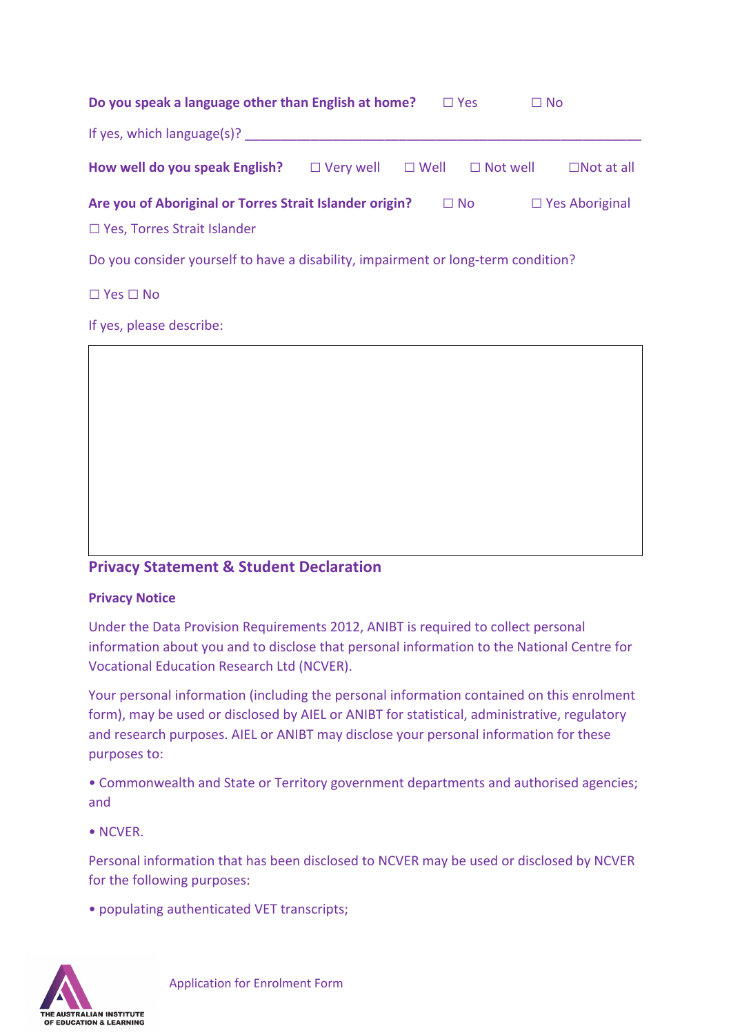| Do you speak a language other than English at home?<br>$\Box$ Yes<br>$\Box$ No                |                  |             |                 |                   |
|-----------------------------------------------------------------------------------------------|------------------|-------------|-----------------|-------------------|
| If yes, which language(s)?                                                                    |                  |             |                 |                   |
| How well do you speak English?                                                                | $\Box$ Very well | $\Box$ Well | $\Box$ Not well | $\Box$ Not at all |
| Are you of Aboriginal or Torres Strait Islander origin?<br>$\Box$ No<br>$\Box$ Yes Aboriginal |                  |             |                 |                   |
| $\Box$ Yes, Torres Strait Islander                                                            |                  |             |                 |                   |
| Do you consider yourself to have a disability, impairment or long-term condition?             |                  |             |                 |                   |
| $\Box$ Yes $\Box$ No                                                                          |                  |             |                 |                   |

If yes, please describe:

#### **Privacy Statement & Student Declaration**

#### **Privacy Notice**

Under the Data Provision Requirements 2012, ANIBT is required to collect personal information about you and to disclose that personal information to the National Centre for Vocational Education Research Ltd (NCVER).

Your personal information (including the personal information contained on this enrolment form), may be used or disclosed by AIEL or ANIBT for statistical, administrative, regulatory and research purposes. AIEL or ANIBT may disclose your personal information for these purposes to:

• Commonwealth and State or Territory government departments and authorised agencies; and

• NCVER.

Personal information that has been disclosed to NCVER may be used or disclosed by NCVER for the following purposes:

• populating authenticated VET transcripts;